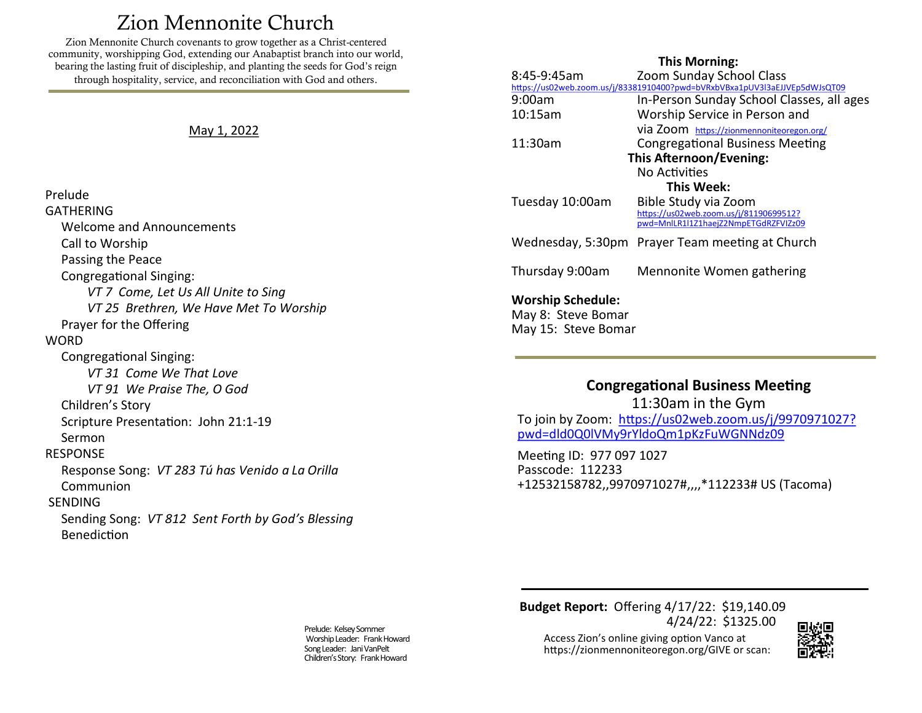# Zion Mennonite Church

<span id="page-0-0"></span>Zion Mennonite Church covenants to grow together as a Christ-centered community, worshipping God, extending our Anabaptist branch into our world, bearing the lasting fruit of discipleship, and planting the seeds for God's reign through hospitality, service, and reconciliation with God and others.

#### May 1, 2022

Prelude GATHERING

**WORD** 

Welcome and Announcements

*VT 7 Come, Let Us All Unite to Sing*

*VT 25 Brethren, We Have Met To Worship*

Response Song: *VT 283 Tú has Venido a La Orilla* 

Sending Song: *VT 812 Sent Forth by God's Blessing*

 Call to Worship Passing the Peace

Congregational Singing:

Prayer for the Offering

Congregational Singing:

Children's Story

 Sermon RESPONSE

SENDING

Communion

Benediction

*VT 31 Come We That Love VT 91 We Praise The, O God*

Scripture Presentation: John 21:1-19

### **This Morning:**

| 8:45-9:45am                    | <b>Zoom Sunday School Class</b>                                                                                         |
|--------------------------------|-------------------------------------------------------------------------------------------------------------------------|
| 9:00am                         | https://us02web.zoom.us/j/83381910400?pwd=bVRxbVBxa1pUV3l3aEJJVEp5dWJsQT09<br>In-Person Sunday School Classes, all ages |
| 10:15am                        | Worship Service in Person and                                                                                           |
|                                | Via Zoom https://zionmennoniteoregon.org/                                                                               |
| 11:30am                        | <b>Congregational Business Meeting</b>                                                                                  |
| <b>This Afternoon/Evening:</b> |                                                                                                                         |
|                                | No Activities                                                                                                           |
| This Week:                     |                                                                                                                         |
| Tuesday 10:00am                | Bible Study via Zoom                                                                                                    |
|                                | https://us02web.zoom.us/j/81190699512?<br>pwd=MnlLR1l1Z1haejZ2NmpETGdRZFVIZz09                                          |
|                                |                                                                                                                         |
|                                | Wednesday, 5:30pm Prayer Team meeting at Church                                                                         |
|                                |                                                                                                                         |
| Thursday 9:00am                | Mennonite Women gathering                                                                                               |
| Marchin Schadula:              |                                                                                                                         |

**Worship Schedule:**  May 8: Steve Bomar May 15: Steve Bomar

## **Congregational Business Meeting** 11:30am in the Gym To join by Zoom: [https://us02web.zoom.us/j/9970971027?](https://us02web.zoom.us/j/9970971027?pwd=dld0Q0lVMy9rYldoQm1pKzFuWGNNdz09) [pwd=dld0Q0lVMy9rYldoQm1pKzFuWGNNdz09](https://us02web.zoom.us/j/9970971027?pwd=dld0Q0lVMy9rYldoQm1pKzFuWGNNdz09)

Meeting ID: 977 097 1027 Passcode: 112233 +12532158782,,9970971027#,,,,\*112233# US (Tacoma)

Prelude: Kelsey Sommer Worship Leader: Frank Howard Song Leader: Jani VanPelt Children's Story: Frank Howard

**Budget Report:** Offering 4/17/22: \$19,140.09 4/24/22: \$1325.00

Access Zion's online giving option Vanco at https://zionmennoniteoregon.org/GIVE or scan: